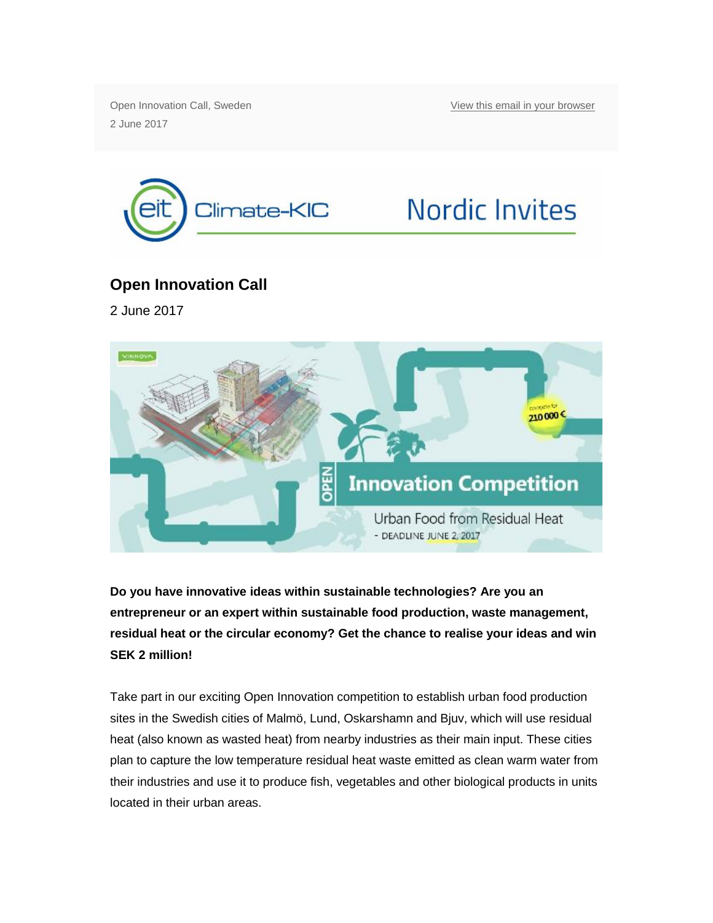Open Innovation Call, Sweden 2 June 2017

[View this email in your browser](http://mailchi.mp/0d561c542abc/open-innovation-call-urban-food-from-residual-heat-1212201?e=b1cc3334ca)



## **Nordic Invites**

## **Open Innovation Call**

2 June 2017



**Do you have innovative ideas within sustainable technologies? Are you an entrepreneur or an expert within sustainable food production, waste management, residual heat or the circular economy? Get the chance to realise your ideas and win SEK 2 million!**

Take part in our exciting Open Innovation competition to establish urban food production sites in the Swedish cities of Malmö, Lund, Oskarshamn and Bjuv, which will use residual heat (also known as wasted heat) from nearby industries as their main input. These cities plan to capture the low temperature residual heat waste emitted as clean warm water from their industries and use it to produce fish, vegetables and other biological products in units located in their urban areas.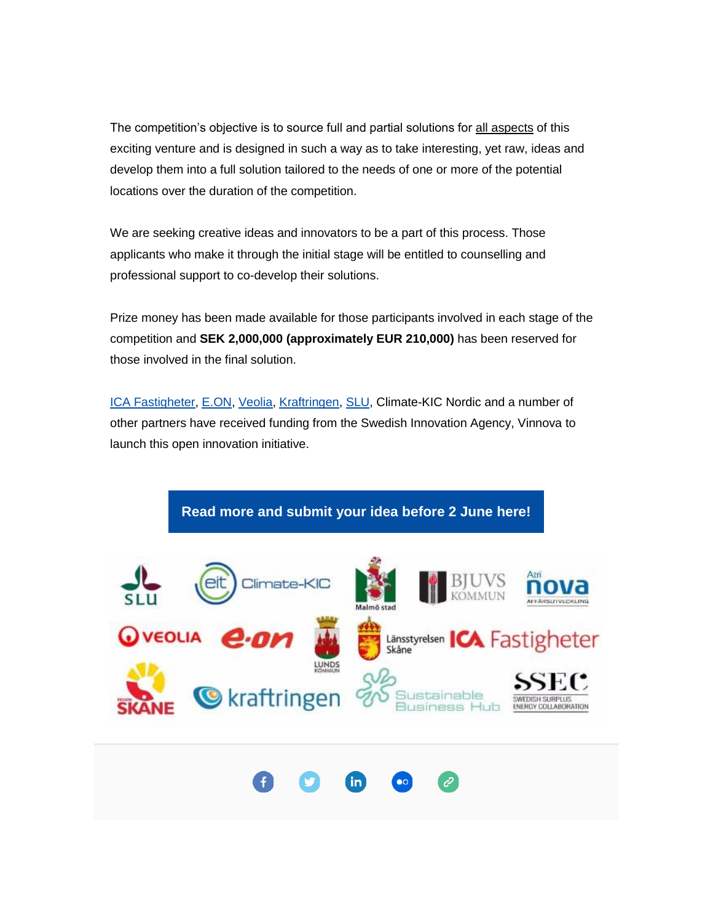The competition's objective is to source full and partial solutions for all aspects of this exciting venture and is designed in such a way as to take interesting, yet raw, ideas and develop them into a full solution tailored to the needs of one or more of the potential locations over the duration of the competition.

We are seeking creative ideas and innovators to be a part of this process. Those applicants who make it through the initial stage will be entitled to counselling and professional support to co-develop their solutions.

Prize money has been made available for those participants involved in each stage of the competition and **SEK 2,000,000 (approximately EUR 210,000)** has been reserved for those involved in the final solution.

[ICA Fastigheter,](http://climate-kic.us10.list-manage1.com/track/click?u=b215d080224bca32a183cee94&id=f3473b1e78&e=b1cc3334ca) [E.ON,](http://climate-kic.us10.list-manage1.com/track/click?u=b215d080224bca32a183cee94&id=67372437b4&e=b1cc3334ca) [Veolia,](http://climate-kic.us10.list-manage.com/track/click?u=b215d080224bca32a183cee94&id=86250e76bc&e=b1cc3334ca) [Kraftringen,](http://climate-kic.us10.list-manage.com/track/click?u=b215d080224bca32a183cee94&id=480cbef932&e=b1cc3334ca) [SLU,](http://climate-kic.us10.list-manage.com/track/click?u=b215d080224bca32a183cee94&id=45a846f51b&e=b1cc3334ca) Climate-KIC Nordic and a number of other partners have received funding from the Swedish Innovation Agency, Vinnova to launch this open innovation initiative.

**Read more [and submit your idea before 2 June here!](http://climate-kic.us10.list-manage2.com/track/click?u=b215d080224bca32a183cee94&id=b74b02e57e&e=b1cc3334ca)**